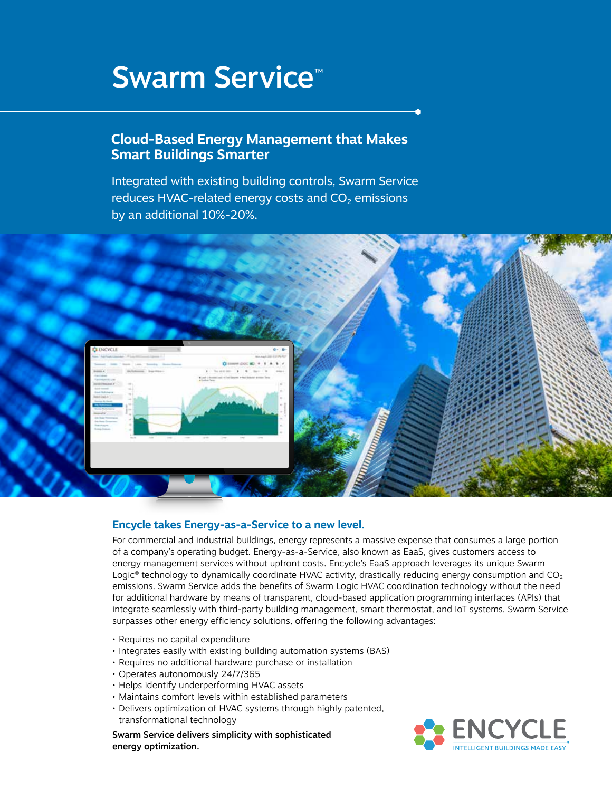# Swarm Service<sup>™</sup>

## **Cloud-Based Energy Management that Makes Smart Buildings Smarter**

Integrated with existing building controls, Swarm Service reduces HVAC-related energy costs and  $CO<sub>2</sub>$  emissions by an additional 10%-20%.



#### **Encycle takes Energy-as-a-Service to a new level.**

For commercial and industrial buildings, energy represents a massive expense that consumes a large portion of a company's operating budget. Energy-as-a-Service, also known as EaaS, gives customers access to energy management services without upfront costs. Encycle's EaaS approach leverages its unique Swarm Logic<sup>®</sup> technology to dynamically coordinate HVAC activity, drastically reducing energy consumption and  $CO<sub>2</sub>$ emissions. Swarm Service adds the benefits of Swarm Logic HVAC coordination technology without the need for additional hardware by means of transparent, cloud-based application programming interfaces (APIs) that integrate seamlessly with third-party building management, smart thermostat, and IoT systems. Swarm Service surpasses other energy efficiency solutions, offering the following advantages:

- Requires no capital expenditure
- Integrates easily with existing building automation systems (BAS)
- Requires no additional hardware purchase or installation
- Operates autonomously 24/7/365
- Helps identify underperforming HVAC assets
- Maintains comfort levels within established parameters
- Delivers optimization of HVAC systems through highly patented, transformational technology

Swarm Service delivers simplicity with sophisticated energy optimization.

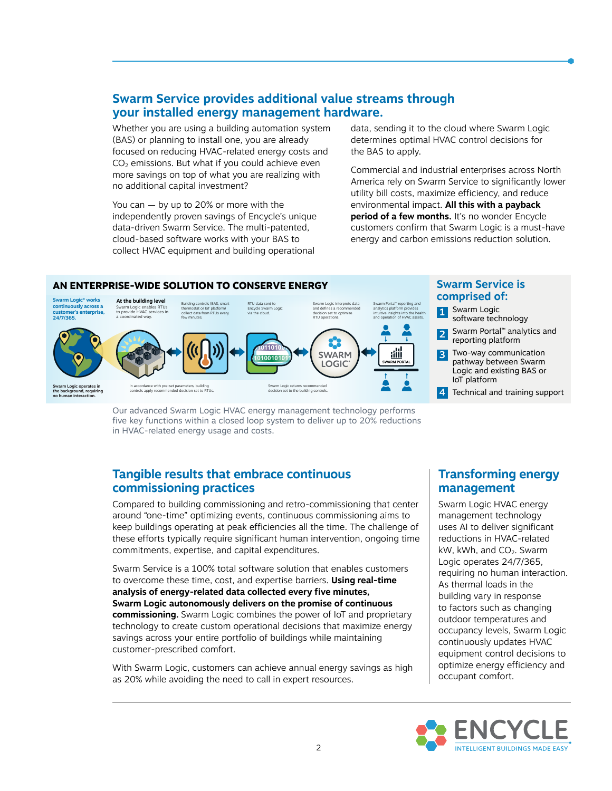#### **Swarm Service provides additional value streams through your installed energy management hardware.**

Whether you are using a building automation system (BAS) or planning to install one, you are already focused on reducing HVAC-related energy costs and  $CO<sub>2</sub>$  emissions. But what if you could achieve even more savings on top of what you are realizing with no additional capital investment?

You can — by up to 20% or more with the independently proven savings of Encycle's unique data-driven Swarm Service. The multi-patented, cloud-based software works with your BAS to collect HVAC equipment and building operational

data, sending it to the cloud where Swarm Logic determines optimal HVAC control decisions for the BAS to apply.

Commercial and industrial enterprises across North America rely on Swarm Service to significantly lower utility bill costs, maximize efficiency, and reduce environmental impact. **All this with a payback period of a few months.** It's no wonder Encycle customers confirm that Swarm Logic is a must-have energy and carbon emissions reduction solution.



#### **Swarm Service is comprised of:**

- 1 Swarm Logic software technology
- 2 Swarm Portal™ analytics and reporting platform
- **3** Two-way communication pathway between Swarm Logic and existing BAS or IoT platform
- 4 Technical and training support

Our advanced Swarm Logic HVAC energy management technology performs five key functions within a closed loop system to deliver up to 20% reductions in HVAC-related energy usage and costs.

#### **Tangible results that embrace continuous commissioning practices**

Compared to building commissioning and retro-commissioning that center around "one-time" optimizing events, continuous commissioning aims to keep buildings operating at peak efficiencies all the time. The challenge of these efforts typically require significant human intervention, ongoing time commitments, expertise, and capital expenditures.

Swarm Service is a 100% total software solution that enables customers to overcome these time, cost, and expertise barriers. **Using real-time analysis of energy-related data collected every five minutes, Swarm Logic autonomously delivers on the promise of continuous commissioning.** Swarm Logic combines the power of IoT and proprietary technology to create custom operational decisions that maximize energy savings across your entire portfolio of buildings while maintaining customer-prescribed comfort.

With Swarm Logic, customers can achieve annual energy savings as high as 20% while avoiding the need to call in expert resources.

### **Transforming energy management**

Swarm Logic HVAC energy management technology uses AI to deliver significant reductions in HVAC-related  $kW$ , kWh, and  $CO<sub>2</sub>$ . Swarm Logic operates 24/7/365, requiring no human interaction. As thermal loads in the building vary in response to factors such as changing outdoor temperatures and occupancy levels, Swarm Logic continuously updates HVAC equipment control decisions to optimize energy efficiency and occupant comfort.

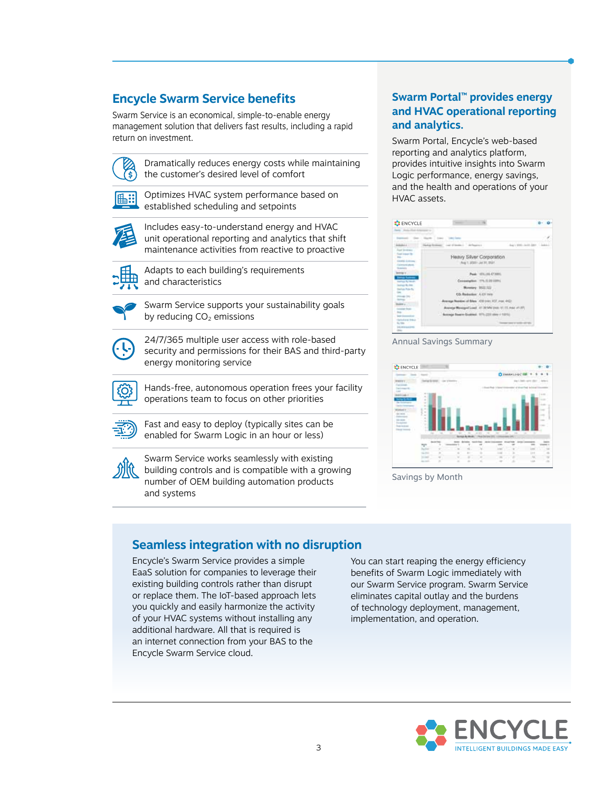# **Encycle Swarm Service benefits**

Swarm Service is an economical, simple-to-enable energy management solution that delivers fast results, including a rapid return on investment.



 Dramatically reduces energy costs while maintaining the customer's desired level of comfort



 Optimizes HVAC system performance based on established scheduling and setpoints



 Includes easy-to-understand energy and HVAC unit operational reporting and analytics that shift maintenance activities from reactive to proactive



 Adapts to each building's requirements and characteristics



 Swarm Service supports your sustainability goals by reducing  $CO<sub>2</sub>$  emissions



 24/7/365 multiple user access with role-based security and permissions for their BAS and third-party energy monitoring service



 Hands-free, autonomous operation frees your facility operations team to focus on other priorities



 Fast and easy to deploy (typically sites can be enabled for Swarm Logic in an hour or less)



 Swarm Service works seamlessly with existing building controls and is compatible with a growing number of OEM building automation products and systems

#### **Swarm Portal™ provides energy and HVAC operational reporting and analytics.**

Swarm Portal, Encycle's web-based reporting and analytics platform, provides intuitive insights into Swarm Logic performance, energy savings, and the health and operations of your HVAC assets.

| <b>Harry</b>                                                        |                                                                  |       |
|---------------------------------------------------------------------|------------------------------------------------------------------|-------|
|                                                                     |                                                                  |       |
|                                                                     | of Class - Afrages<br>Aug 1 Mill - And 1 June                    | 1.444 |
| Cook reason the<br><b>Circuita</b> Automa<br>Commissioner<br>$-111$ | Heavy Silver Corporation<br>Aug 1, practicular St. Brant         |       |
| <b>THEFT IS COMPANY</b><br><b>Series Turner</b><br>Antras Rymon.    | <b>FIG.188.47389</b><br><b>Costs</b><br>176, IL 24 12PH C        |       |
| strait No Inn<br><b>Lashate Rales Ry</b>                            | USTER PARK                                                       |       |
|                                                                     | CO. Redoubles' A 431 year.                                       |       |
|                                                                     | Got ages, 120 years (43) and the material                        |       |
|                                                                     | or Managed Load AT 39 MW your \$1.15 most at 37.<br><b>START</b> |       |
|                                                                     | Boxings Suare Enabled, 1771-222 (dog il 102)                     |       |
| short that                                                          |                                                                  |       |

#### Annual Savings Summary



Savings by Month

# **Seamless integration with no disruption**

Encycle's Swarm Service provides a simple EaaS solution for companies to leverage their existing building controls rather than disrupt or replace them. The IoT-based approach lets you quickly and easily harmonize the activity of your HVAC systems without installing any additional hardware. All that is required is an internet connection from your BAS to the Encycle Swarm Service cloud.

You can start reaping the energy efficiency benefits of Swarm Logic immediately with our Swarm Service program. Swarm Service eliminates capital outlay and the burdens of technology deployment, management, implementation, and operation.